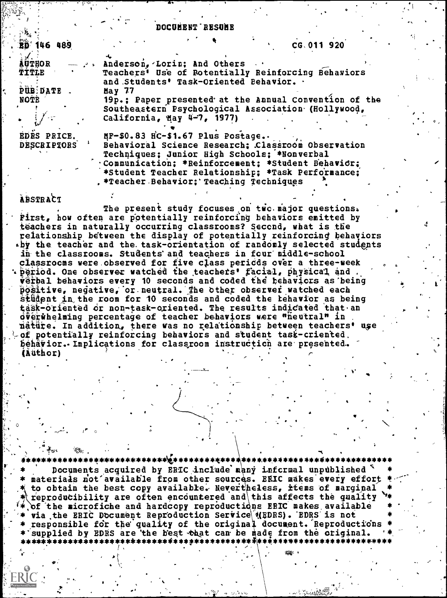#### DOCUMBNT RESUME

| <b>BD</b> 146 489                                      | CG.011 920                                                                                                                                                                                                                                                                                                                                                                                                                                                                                                                                            |
|--------------------------------------------------------|-------------------------------------------------------------------------------------------------------------------------------------------------------------------------------------------------------------------------------------------------------------------------------------------------------------------------------------------------------------------------------------------------------------------------------------------------------------------------------------------------------------------------------------------------------|
| TITLE<br>PUB DATE .<br>NOTE<br>$\mathbb{Z}/\mathbb{Z}$ | $\frac{1}{2}$ and $\frac{1}{2}$ and $\frac{1}{2}$ and $\frac{1}{2}$ and $\frac{1}{2}$ and $\frac{1}{2}$ and $\frac{1}{2}$ and $\frac{1}{2}$ and $\frac{1}{2}$ and $\frac{1}{2}$ and $\frac{1}{2}$ and $\frac{1}{2}$ and $\frac{1}{2}$ and $\frac{1}{2}$ and $\frac{1}{2}$ and $\frac{1}{2}$ a<br>Teachers' Use of Rotentially Reinforcing Behaviors<br>and Students' Task-Oriented Behavior. .<br>May 77<br>19p.; Paper presented at the Annual Convention of the<br>Southeastern Psychological Association (Hollywood,<br>California, May 4-7, 1977) |
| EDRS PRICE.<br><b>DESCRIPTORS</b>                      | MF-\$0.83 HC-\$1.67 Plus Postage<br>Behavioral Science Research; Classroom Observation<br>Techniques; Junior High Schools; *Nonverbal<br>. Communication: *Reinforcement: *Student Behavior:<br>*Student Teacher Relationship; *Task Performance;<br>, *Teacher Behavior; Teaching Techniques                                                                                                                                                                                                                                                         |
| <b>ABSTRACT</b>                                        |                                                                                                                                                                                                                                                                                                                                                                                                                                                                                                                                                       |

The present study focuses on two major questions. First, how often are potentially reinforcing behaviors emitted by teachers in naturally occurring classrooms? Second, what is the relationship between the display of potentially reinforcing behaviors by the teacher and the task-orientation of randomly selected students in the classrooms. Students and teachers in four middle-school classrocus were observed for five class periods over a three-week<br>period. One observer watched the teachers' facial, physical and. verbal behaviors every 10 seconds and coded the behaviors as being positive, negative, or neutral. The other observer watched each stüdent in the room for 10 seconds and coded the tehavior as being<br>task-oriented or non-task-oriented. The results indicated that an overwhelming percentage of teacher behaviors were "heutral" in nature. In addition, there was no relationship between teachers' use of potentially reinforcing behaviors and student task-criented. behävior. Implications for classroom instruction are presented. (Author)

\*\*\*\*\*\*\*<del>\*\*\*\*\*\*\*\*\*\*\*\*</del> Documents acquired by ERIC include many informal unpublished materials not available from other sources. ERIC makes every effort to obtain the best copy available. Nevertheless, items of marginal reproducibility are often encountered and this affects the quality of the microfiche and hardcopy reproductions ERIC makes available via the ERIC Document Reproduction Service (RDRS). EDRS is not responsible for the quality of the original document. Reproductions \* supplied by EDRS are the best that can be made from the original.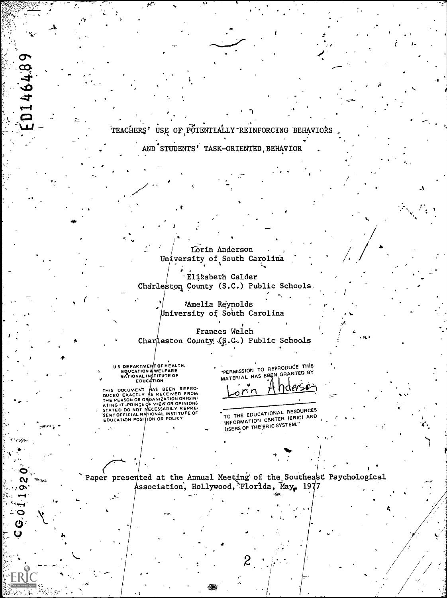ED146489 TEACHERS' USE OF POTENTIALLY REINFORCING BEHAVIORS AND STUDENTS' TASK-ORIENTED, BEHAVIOR Lorin Anderson University of South Carolina Elizabeth Calder Charleston County (S.C.) Public Schools. Amelia Reynolds University of South Carolina Frances Welch Charleston County (S.C.) Public Schools US DEPARTMENT OF HEALTH,<br>EDUCATION & WELFARE<br>NATIONAL INSTITUTE OF<br>EDUCATION "PERMISSION TO REPRODUCE THIS MATERIAL HAS BREN GRANTED BY THIS DOCUMENT HAS BEEN REPRO-<br>DUCED EXACTLY AS RECEIVED FROM<br>THE PERSON OR ORGANIZATION ORIGINA<br>ATING IT POINTS OF VIEW OR OPINIONS<br>SENTOFFICIAL NATIONAL INSTITUTE OF<br>EDUCATION POSITION OR POLICY H hdersø orin TO THE EDUCATIONAL RESOURCES INFORMATION CENTER (ERIC) AND USERS OF THE ERIC SYSTEM." Paper presented at the Annual Meeting of the Southeast Psychological  $\mathbf{\Omega}$ Association, Hollywood, Florida, May, 1977  $\sigma$ 

 $C$   $C$   $0$   $1$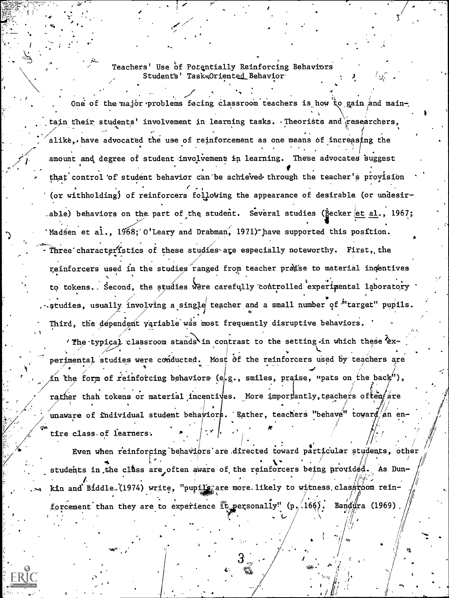# Teachers' Use of Potentially Reinforcing Behaviors Students' Task=Oriented Behavior

One of the major problems facing classroom teachers is how to gain and maintain their students' involvement in learning tasks. Theorists and researchers, alike, have advocated the use of reinforcement as one means of increasing the amount and degree of student involvement in learning. These advocates suggest that control of student behavior can be achieved through the teacher's provision (or withholding) of reinforcers following the appearance of desirable (or undesirable) behaviors on the part of the student. Several studies (Becker et al., 1967; Madsen et al., 1968; O'Leary and Drabman, 1971) have supported this position. Three characteristics of these studies are especially noteworthy. First, the reinforcers used in the studies ranged from teacher pratse to material incentives to tokens. Second, the studies were carefully controlled experimental laboratory .studies, usually involving a single teacher and a small number of "target" pupils. Third, the dependent variable was most frequently disruptive behaviors.

'The typical classroom stands in contrast to the setting in which these experimental studies were conducted. Most of the reinforcers used by teachers are in the form of reinforcing behaviors (e.g., smiles, praise, "pats on the back"), rather than tokens or material incentives. More importantly, teachers often are unaware of individual student behaviors. Rather, teachers "behave" toward an entire class of learners.

Even when reinforcing behaviors are directed toward particular students, other students in the class are often aware of the reinforcers being provided. As Dunkin and Biddle. (1974) write, "pupils, are more likely to witness class yom reinforcement than they are to experience  $\tilde{\mathbf{f}}$  t personally" (p. 166). Bandura (1969)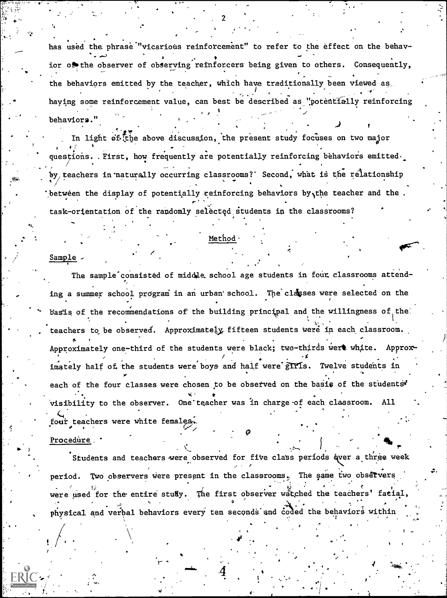has used the phrase "vicarious reinforcement" to refer to the effect on the behavior or the observer of observing reinforcers being given to others. Consequently, the behaviors emitted by the teacher, which have traditionally been viewed as having some reinforcement value, can best be described as "potentially reinforcing behaviors."

In light of the above discussion, the present study focuses on two major questions. First, how frequently are potentially reinforcing behaviors emitted. by teachers in naturally occurring classrooms?' Second, what is the relationship between the display of potentially reinforcing behaviors by the teacher and the. task-orientation of the randomly selected students in the classrooms?

#### Method

#### Sample -

The sample consisted of middle school age students in four classrooms attending a summer school program in an urban school. The classes were selected on the basis of the recommendations of the building principal and the willingness of the teachers to be observed. Approximately fifteen students were in each classroom. Approximately one-third of the students were black; two-thirds were white. Approximately half of the students were boys and half were girls. Twelve students in each of the four classes were chosen to be observed on the basis of the students' visibility to the observer. One teacher was in charge of each classroom. All four teachers were white females.

#### Procedure,

Students and teachers were observed for five class periods (wer a three week period. Two observers were present in the classrooms. The same two observers were used for the entire study. The first observer watched the teachers' facial, physical and verbal behaviors every ten seconds and coded the behaviors within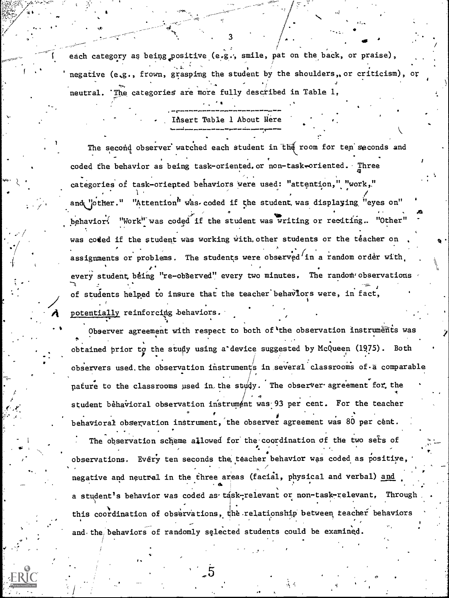each category as being positive (e.g., smile, pat on the back, or praise), negative (e.g., frown, grasping the student by the shoulders, or criticism). or neutral. 'The categories are more fully described in Table 1,

3

New York Construction

to '

tt

Ifisert Table 1 About Here

 $\mathcal{A}_{\mathbf{q}}$  and  $\mathcal{A}_{\mathbf{q}}$ 

t.

The second observer watched each student in the room for ten seconds and coded the behavior as being task-oriented. or non-task-oriented. Three .. ,, . categories of task-oriepted behaviors Were used: "attention," "work,." 1 , and the contract of the contract of  $\mathcal{A}$ and "other." "Attention" was coded if the student was displaying "eyes on"  $\mathcal{L}$  -defined by the contract of  $\mathcal{L}$  -defined by  $\mathcal{L}$  -defined by  $\mathcal{L}$  -defined by  $\mathcal{L}$ behavior: "Work" was coded if the student was writing or reciting.. "Other" was coded if the student was working with other students or the teacher on .<br>assignments or problems. The students were observed in a random order with, which every student being "re-observed" every two minutes. The random observations of students helped to insure that the teacher'behaViors were, in fact, / potentially reinforcing behaviors.

Observer agreement with respect to both of the observation instruments was obtained prior to the study using a device suggested by McQueen (1975). Both  $\cdot$ observers used the observation instruments in several classrooms of a comparable pature to the classrooms used in the study. The observer agreement for the the  $\mathcal{A}$  and  $\mathcal{A}$ student behavioral observation instrument was 93 per cent. For the teacher behavioral observation instrument, the observer agreement was 80 per cent. The observation scheme allowed for the coordination of the two sers of observations. Every ten seconds the teacher behavior was coded as positive,  $\vert$ negative and neutral in the three areas (facial, physical and verbal) and . a student's behavior was coded as task-relevant or non-task-relevant, this coordination of observations, the relationship between teacher behaviors

and the behaviors of randomly selected students could be examined.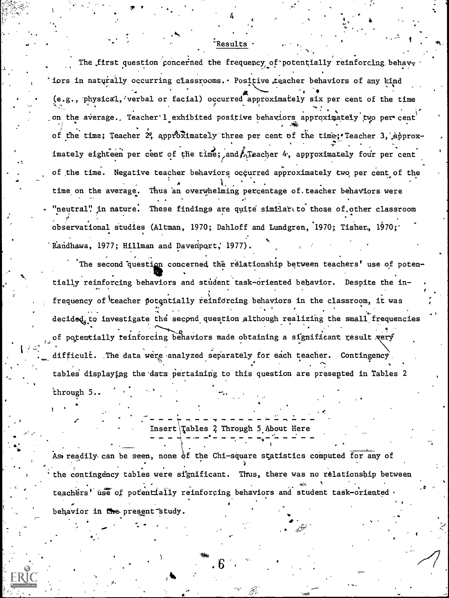### *E*Results

The first question concerned the frequency of potentially reinforcing behaviors in naturally occurring classrooms. Positive teacher behaviors of any kind (e.g., physical, verbal or facial) occurred approximately six per cent of the time on the average. Teacher 1 exhibited positive behaviors approximately two per cent of the time; Teacher 2, approximately three per cent of the time; Teacher 3, approximately eighteen per cent of the time; and ATeacher 4, approximately four per cent of the time. Negative teacher behaviors occurred approximately two per cent of the time on the average. Thus an overwhelming percentage of teacher behaviors were "neutral" in nature. These findings are quite similar to those of other classroom observational studies (Altman, 1970; Dahloff and Lundgren, 1970; Tisher, 1970; Randhawa, 1977; Hillman and Davenport; 1977)

The second question concerned the relationship between teachers' use of potentially reinforcing behaviors and student task-oriented behavior. Despite the infrequency of teacher potentially reinforcing behaviors in the classroom, it was decided to investigate the second question although realizing the small frequencies of potentially reinforcing behaviors made obtaining a significant result very difficult. The data were analyzed separately for each teacher. Contingency. tables displaying the data pertaining to this question are presented in Tables 2 through 5..

Insert Tables 2 Through 5 About Here

As readily can be seen, none of the Chi-square statistics computed for any of the contingency tables were significant. Thus, there was no relationship between teachers' use of potentially reinforcing behaviors and student task-oriented. behavior in the present study.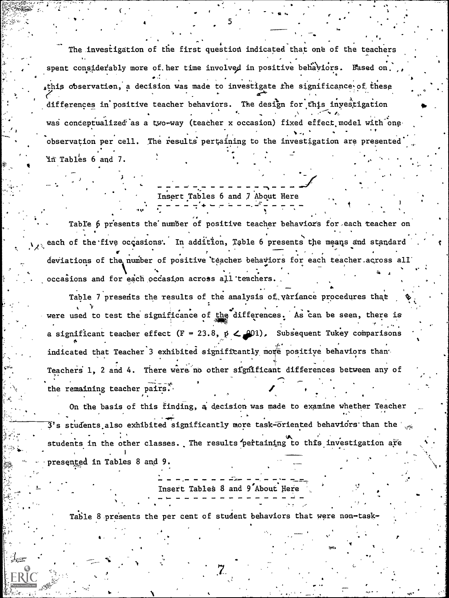The investigation of the first question indicated that one of the teachers spent considerably more of her time involved in positive behaviors. Based on. this observation, a decision was made to investigate the significance of these differences in positive teacher behaviors. The design for this investigation was conceptualized as a two-way (teacher x occasion) fixed effect model with one observation per cell. The results pertaining to the investigation are presented In Tables 6 and 7.

# Insert Tables 6 and 7 About Here

Table 6 presents the number of positive teacher behaviors for each teacher on each of the five occasions. In addition, Table 6 presents the means and standard deviations of the number of positive teacher behaviors for each teacher across all occasions and for each occasion across all teachers.

Table 7 presents the results of the analysis of variance procedures that were used to test the significance of the differences. As can be seen, there is a significant teacher effect (F = 23.8,  $p \le 201$ ). Subsequent Tukey comparisons indicated that Teacher 3 exhibited significantly more positive behaviors than Teachers 1, 2 and 4. There were no other significant differences between any of the remaining teacher pairs.

On the basis of this finding, a decision was made to examine whether Teacher  $3$ 's students also exhibited significantly more task-oriented behaviors than the  $\chi_{\rm ex}$ students in the other classes. The results pertaining to this investigation are presented in Tables 8 and 9.

Insert Tables 8 and 9 About Here

Table 8 presents the per cent of student behaviors that were non-task-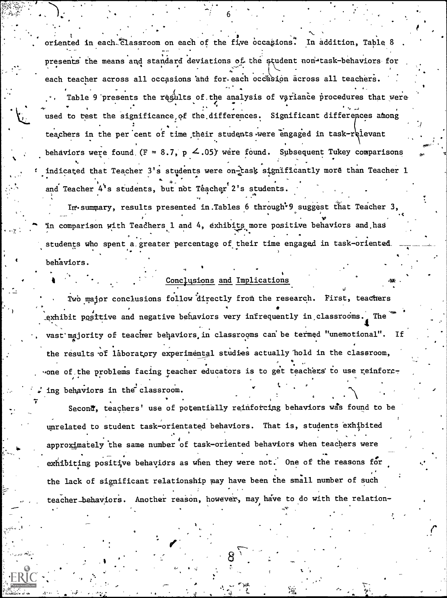oriented in each classroom on each of the five occasions. In addition, Table 8 presents the means and standard deviations of the student non-task-behaviors for each teacher across all occasions and for each occasion across all teachers. Table 9 presents the results of the analysis of variance procedures that were used to test the significance of the differences. Significant differences among teachers in the per cent of time their students were engaged in task-relevant behaviors were found (F = 8.7, p  $\leq$ .05) were found. Subsequent Tukey comparisons indicated that Teacher 3's students were on-task significantly more than Teacher 1 and Teacher 4's students, but not Teacher 2's students.

In summary, results presented in Tables 6 through<sup>\*9</sup> suggest that Teacher 3. in comparison with Teachers 1 and 4, exhibits more positive behaviors and has students who spent a greater percentage of their time engaged in task-oriented. behaviors

## Conclusions and Implications

Two major conclusions follow directly from the research. First, teachers exhibit positive and negative behaviors very infrequently in classrooms. The vast majority of teacher behaviors, in classrooms can be termed "unemotional". the results of laboratory experimental studies actually hold in the classroom, one of the problems facing teacher educators is to get teachers to use reinforcing behaviors in the classroom.

Second, teachers' use of potentially reinforcing behaviors was found to be unrelated to student task-orientated behaviors. That is, students exhibited approximately the same number of task-oriented behaviors when teachers were exhibiting positive behaviors as when they were not. One of the reasons for the lack of significant relationship may have been the small number of such teacher behaviors. Another reason, however, may have to do with the relation-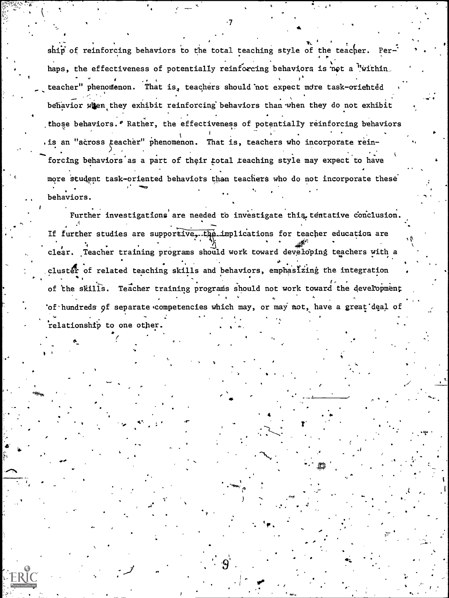ship of reinforcing behaviors to the total teaching style of the teacher. Perhaps, the effectiveness of potentially reinforcing behaviors is not a "within teacher" phenomenon. That is, teachers should not expect more task-oriented behavior when they exhibit reinforcing behaviors than when they do not exhibit those behaviors. *PRather*, the effectiveness of potentially reinforcing behaviors . is an "across teacher" phenomenon. That is, teachers who incorporate reinforcing behaviors as a part of their total teaching style may expect to have more student task-oriented behaviors than teachers who do not incorporate these behaviors.

Further investigations are needed to investigate this tentative conclusion. If further studies are supportive, the implications for teacher education are clear. Teacher training programs should work toward developing teachers with a cluster of related teaching skills and behaviors, emphasizing the integration of the skills. Teacher training programs should not work toward the development 'of hundreds of separate competencies which may, or may not, have a great deal of relationship to one other.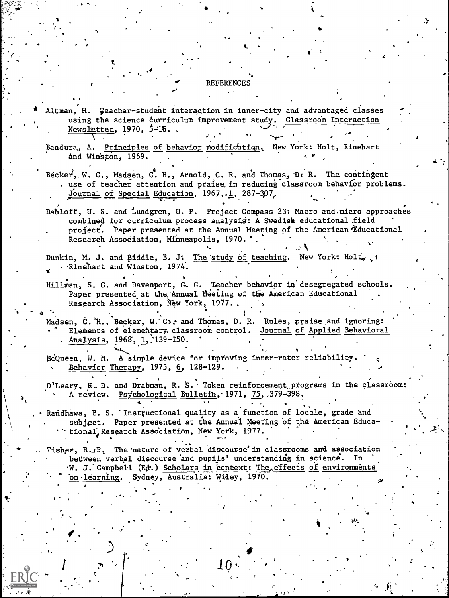#### **REFERENCES**

Altman, H. Feacher-student interaction in inner-city and advantaged classes using the science curriculum improvement study. Classroom Interaction Newsletter,  $1970, 5-15.$ .

Bandura, A. Principles of behavior modification, New York: Holt, Rinehart and Winston, 1969.

Becker, W. C., Madsen, C. H., Arnold, C. R. and Thomas, D. R. The contingent . use of teacher attention and praise in reducing classroom behavior problems. Journal of Special Education, 1967, 1, 287-307.

Dahloff, U. S. and Lundgren, U. P. Project Compass 23: Macro and micro approaches combined for curriculum process analysis: A Swedish educational field project. Paper presented at the Annual Meeting of the American Educational Research Association, Minneapolis, 1970. '.

Dunkin, M. J. and Biddle, B. J. The study of teaching. New York: Holt, . Rinehart and Winston, 1974.

Hillman, S. C. and Davenport, G. G. Teacher behavior in desegregated schools. Paper presented at the Annual Meeting of the American Educational Research Association, New York, 1977.

Madsen, C. H., Becker, W. C., and Thomas, D. R. Rules, praise and ignoring: Elements of elementary. classroom control. Journal of Applied Behavioral Analysis, 1968, 1, 139-150.

McQueen, W. M. A simple device for improving inter-rater reliability. Behavior Therapy, 1975, 6, 128-129.

O'Leary, K. D. and Drabman, R. S. Token reinforcement programs in the classroom: A review. Psychological Bulletin, 1971, 75, 379-398.

Randhawa, B. S. 'Instructional quality as a function of locale, grade and subject. Paper presented at the Annual Meeting of the American Educational Research Association, New York, 1977.

Tisher, R.JP, The nature of verbal discourse' in classrooms and association between verbal discourse and pupils' understanding in science. In W. J. Campbell (Ed.) Scholars in context: The effects of environments on learning. - Sydney, Australia: Wiley, 1970.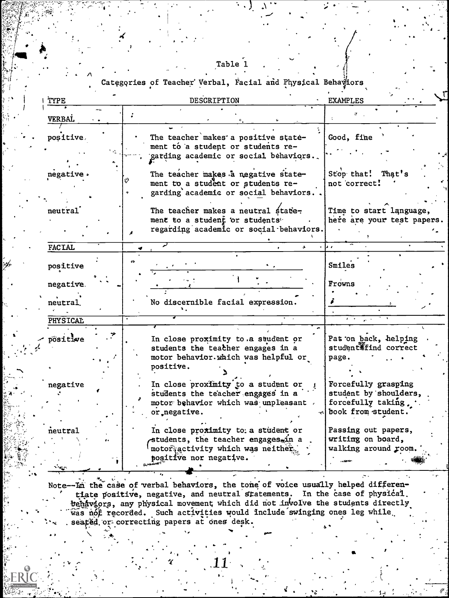|  | ant |  |  |
|--|-----|--|--|
|  |     |  |  |

Categories of Teacher Verbal, Facial and Physical Behaviors

| TYPE                  | DESCRIPTION                                                                                                                             | <b>EXAMPLES</b>                                                                          |
|-----------------------|-----------------------------------------------------------------------------------------------------------------------------------------|------------------------------------------------------------------------------------------|
| <b>VERBAL</b>         |                                                                                                                                         |                                                                                          |
| positive.             | The teacher makes a positive state-<br>ment to a student or students re-<br>garding academic or social behaviors.                       | Good, fine                                                                               |
| negative.             | The teacher makes a negative state-<br>ment to a student or students re-<br>garding academic or social behaviors.                       | Stop that! That's<br>not correct!                                                        |
| neutral               | The teacher makes a neutral state-<br>ment to a student or students"<br>regarding academic or social behaviors.                         | Time to start language,<br>here are your test papers.                                    |
| <b>FACTAL</b>         |                                                                                                                                         | ь.                                                                                       |
| positive              |                                                                                                                                         | Smiles<br>Frowns                                                                         |
| negative.<br>neutral. | No discernible facial expression.                                                                                                       |                                                                                          |
| <b>PHYSICAL</b>       |                                                                                                                                         |                                                                                          |
| positive              | In close proximity to a student or<br>students the teacher engages in a<br>motor behavior. which was helpful or<br>positive.            | Pat on back, helping<br>student find correct<br>page.                                    |
| negative              | In close proximity to a student or<br>students the teacher engages in a<br>motor behavior which was unpleasant.<br>or negative.         | Forcefully grasping<br>student by shoulders,<br>forcefully taking.<br>book from student. |
| neutral<br>بعيدته     | In close proximity to a student or<br>students, the teacher engages in a<br>motor activity which was neither.<br>positive nor negative. | Passing out papers,<br>writing on board,<br>walking around room.                         |

Note--La the case of verbal behaviors, the tone of voice usually helped differentiate positive, negative, and neutral statements. In the case of physical<br>behaviors, any physical movement which did not involve the students directly was not recorded. Such activities would include swinging ones leg while seated or correcting papers at ones desk.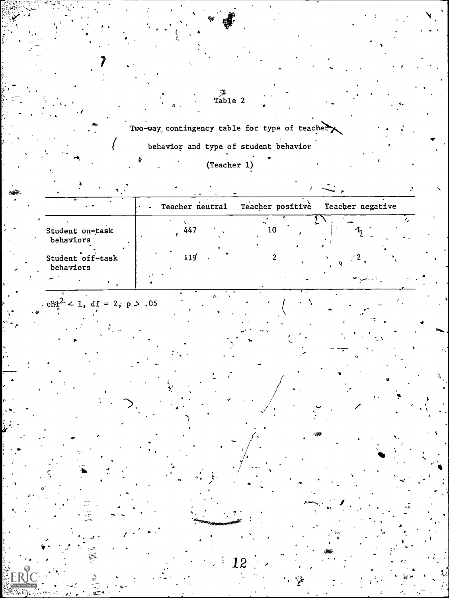Two-way contingency table for type of teacher

 $\begin{array}{c}\n\circ \\
\circ \\
\text{Table 2}\n\end{array}$ 

behavior and type of student behavior

 $(Teacher 1)$ 

| $\bullet$                      | Teacher neutral |                  |          | Teacher positive<br>Teacher negative |  |           |  |  |
|--------------------------------|-----------------|------------------|----------|--------------------------------------|--|-----------|--|--|
| Student on-task<br>behaviors   |                 | 447              |          | 10                                   |  |           |  |  |
| Student off-task<br>behaviors  |                 | 119 <sup>'</sup> |          |                                      |  | د راسي جا |  |  |
| cli $2^2$ < 1, df = 2, p > .05 |                 |                  | $\sigma$ |                                      |  |           |  |  |

12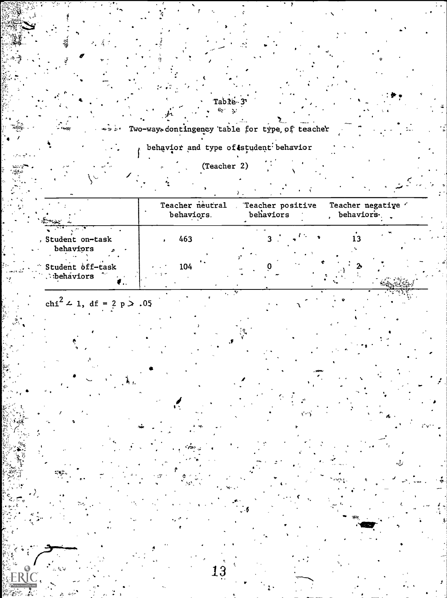Table 3  $\mathcal{L}_{\mathbb{C}}$  .

Two-ways contingency table for type of teacher

behavior and type of student behavior

(Teacher 2)

Teacher neutral Teacher negative " Teacher positive behaviors. , behaviors. behaviors  $13$ 463 Student on-task 3 behaviors Student off-task 104 **behaviors** ₹.,

13

chi<sup>2</sup>  $\angle$  1, df = 2 p  $> .05$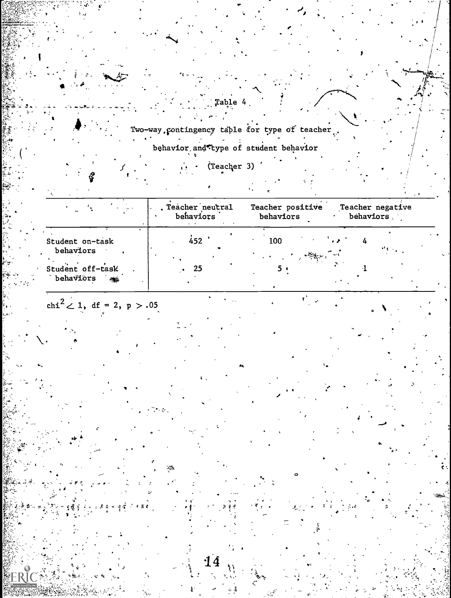Two-way contingency table for type of teacher. behavior and type of student behavior

Table 4

(Teacher 3)

Teacher negative Teacher neutral<br>behaviors Teacher positive behaviors behaviors  $452$ 100 Student on-task  $\overline{4}$ behaviors Student off-task 25  $5.$  $\mathbf{I}$ behaviors s

•! 4

 $\mathbf{f}^{\mathbf{A}}$ 

chi<sup>2</sup>  $\angle$  1, df = 2, p > .05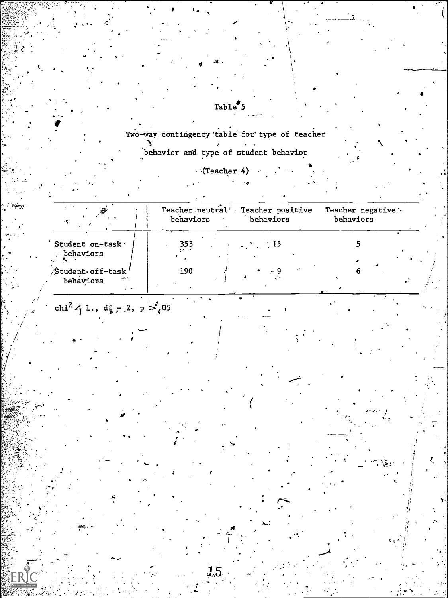Two-way contingency table for type of teacher behavior and type of student behavior

 $\texttt{Table}''5$ 

**(Teacher 4)**  $\rightarrow$   $\rightarrow$ 

|                                                              | Teacher neutral <sup>i</sup> .<br>Teacher positive<br>behaviors<br>behaviors | Teacher negative :-<br>behaviors |  |  |
|--------------------------------------------------------------|------------------------------------------------------------------------------|----------------------------------|--|--|
| Student on-task'<br>behaviors                                | 353<br>$\sim 15$                                                             |                                  |  |  |
| Student of f-task'<br>المركان<br>behaviors<br>$\blacksquare$ | 190                                                                          |                                  |  |  |

chi<sup>2</sup>  $\frac{1}{7}$  1., df = 2, p  $\frac{1}{3}$  05

15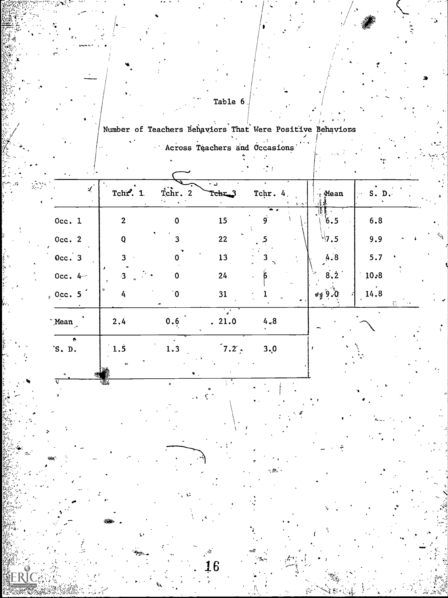Table 6

# Number of Teachers Behaviors That Were Positive Behaviors

|                               | $\epsilon$     | - T. F         |                                        |                                                   |                    |            |  |
|-------------------------------|----------------|----------------|----------------------------------------|---------------------------------------------------|--------------------|------------|--|
| $\mathcal{L}$<br>$\mathbf{r}$ | Tchr. 1.       | Tchr. 2        | ن -<br>Tchr_3                          | Tchr. 4.<br>$\mathcal{R} \rightarrow \mathcal{R}$ | $\frac{1}{3}$ Mean | S. D.      |  |
| Occ. $1$                      | $\overline{2}$ | $\mathbf 0$    | 15                                     | 9                                                 | 6.5                | 6.8        |  |
| Occ. $2$                      | $\mathbf 0$    | 3              | 22                                     |                                                   | $^{17}$ .5         | 9.9        |  |
| $0cc.$ 3                      | 3              |                | 13                                     |                                                   | 4.8                | 5.7        |  |
| Occ. $4-$                     | $\mathbf{3}$   | 0              | 24                                     |                                                   | 8.2                | 10.8       |  |
| $, 0$ cc. 5                   | $\circ$<br>4   | $\overline{0}$ | 31                                     |                                                   | $0.6$ $\pm 9$      | 14.8<br>즚. |  |
| Mean                          | 2.4            | 0.6            | $\overline{\cdot}$<br>. 21.0           | 4,8                                               |                    |            |  |
| ¢.<br>'S. D.                  | 1.5            | 1.3<br>٩.      | $7.2^\circ$                            | 3,0                                               |                    |            |  |
|                               | 诱              | $\bullet$      | $\mathcal{L} \in \mathcal{L}^{\infty}$ |                                                   |                    |            |  |
|                               |                |                |                                        |                                                   |                    |            |  |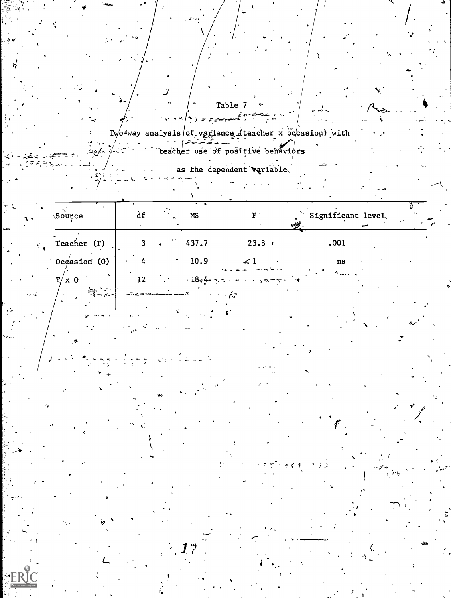|         |                                                                       |                                                        | Table 7<br>৲১ নত <mark>∫</mark> দ্য <i>এ র্যুক</i> কক | حصنته معرتير                      |                    |  |
|---------|-----------------------------------------------------------------------|--------------------------------------------------------|-------------------------------------------------------|-----------------------------------|--------------------|--|
|         |                                                                       | Two-way analysis of variance (teacher x occasion) with |                                                       |                                   |                    |  |
|         | لخمومه                                                                |                                                        |                                                       | teacher use of positive behaviors |                    |  |
|         |                                                                       |                                                        | as the dependent wariable.                            |                                   |                    |  |
|         |                                                                       |                                                        |                                                       |                                   |                    |  |
|         |                                                                       |                                                        |                                                       |                                   |                    |  |
|         | Source                                                                | df                                                     | MS                                                    |                                   | Significant level. |  |
| Ñ.      | Teacher (T)                                                           | 3 <sup>1</sup>                                         | 437.7                                                 | $23.8 +$                          | .001               |  |
|         | Occasion $(0)$                                                        | 4                                                      | 10.9                                                  | ∠ 1                               | ns                 |  |
|         | $T/x$ 0                                                               | 12<br>$\sim 100$                                       | $18 - 4 - 5$                                          |                                   |                    |  |
| تجاوب ب | $\mathbb{E}_{\mathbf{S}^{\text{c}}}\mathbb{P}[\mathbb{P}^{\text{c}}]$ |                                                        |                                                       |                                   |                    |  |
|         |                                                                       |                                                        |                                                       |                                   |                    |  |
|         |                                                                       |                                                        |                                                       |                                   |                    |  |
|         |                                                                       |                                                        |                                                       |                                   | 2                  |  |
|         |                                                                       |                                                        |                                                       |                                   |                    |  |
|         |                                                                       |                                                        |                                                       |                                   |                    |  |
|         |                                                                       |                                                        |                                                       |                                   |                    |  |
|         |                                                                       |                                                        |                                                       |                                   |                    |  |
|         |                                                                       |                                                        |                                                       |                                   |                    |  |
|         |                                                                       |                                                        |                                                       |                                   |                    |  |
|         |                                                                       |                                                        |                                                       |                                   |                    |  |
|         |                                                                       |                                                        |                                                       |                                   |                    |  |
|         |                                                                       |                                                        |                                                       |                                   |                    |  |
|         |                                                                       |                                                        |                                                       |                                   |                    |  |
|         |                                                                       |                                                        |                                                       |                                   |                    |  |
|         |                                                                       |                                                        |                                                       |                                   |                    |  |
|         |                                                                       |                                                        |                                                       |                                   |                    |  |
|         |                                                                       |                                                        |                                                       |                                   |                    |  |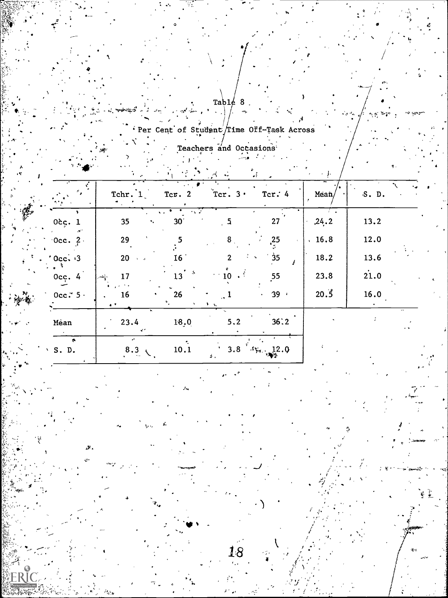$\text{Tab1}\frac{1}{2}$  $\mathbf{8}$ 

Per Cent of Student/Time Off-Task Across

Teachers and Occasions

|                             | Tchr. 1             | Tcr. $2$        | $\sim$<br>Ter. $3 \cdot$ | 4Ê.<br>Tcr. $4$   | Mean/ | S. D. |  |
|-----------------------------|---------------------|-----------------|--------------------------|-------------------|-------|-------|--|
| 0 <sub>c</sub> . 1          | 35                  | 30 <sup>°</sup> |                          | 27                | ,24.2 | 13.2  |  |
| $\degree$ Occ. 2.           | 29                  |                 | 8 <sub>1</sub>           | $\frac{25}{2}$    | .16.8 | 12.0  |  |
| $. 0c$ $\sqrt{3}$           | 20<br>$\lambda = 3$ | 16 <sup>7</sup> | $\mathcal{P}$            | 35                | 18.2  | 13.6  |  |
| Occ. $4$                    | 17<br>ويسر          | $13-5$          |                          | 55                | 23.8  | 21.0  |  |
| $\degree$ Occ. $\degree$ 5. | 16<br>$\bullet$     | 26              |                          | 39.1              | 20.5  | 16.0  |  |
| Mêan                        | 23.4                | 18.0            | 5,2                      | 36:2              |       |       |  |
| $\cdot$ S. D.               | ÷<br>$8.3 \div$     | 10.1            | 3.8<br>Δ.                | $4x_4$ 12.0<br>ு⊗ |       |       |  |

æ.